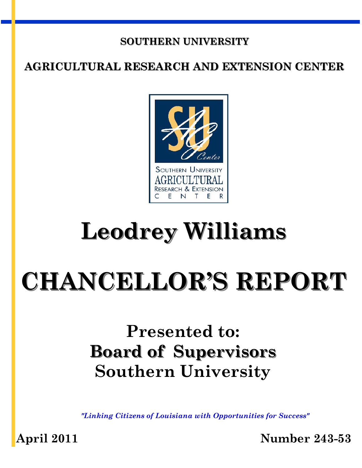#### **SOUTHERN UNIVERSITY**

#### **AGRICULTURAL RESEARCH AND EXTENSION CENTER**



## **Leodrey Williams**

# **CHANCELLOR'S REPORT**

## **Presented to: Board of Supervisors Southern University**

*"Linking Citizens of Louisiana with Opportunities for Success"* 

**April 2011 Number 243-53**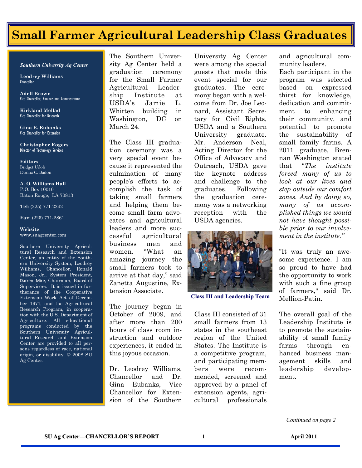## **Small Farmer Agricultural Leadership Class Graduates**

#### *Southern University Ag Center*

**Leodrey Williams**  Chancellor

**Adell Brown** Vice Chancellor, Finance and Administration

**Kirkland Mellad**  Vice Chancellor for Research

**Gina E. Eubanks**  Vice Chancellor for Extension

**Christopher Rogers** Director of Technology Services

**Editors**  Bridget Udoh Donna C. Badon

**A. O. Williams Hall**  P.O. Box 10010 Baton Rouge, LA 70813

**Tel**: (225) 771-2242

**Fax**: (225) 771-2861

#### **Website**: www.suagcenter.com

Southern University Agricultural Research and Extension Center, an entity of the Southern University System, Leodrey Williams, Chancellor, Ronald Mason, Jr., System President, Darren Mire, Chairman, Board of Supervisors. It is issued in furtherance of the Cooperative Extension Work Act of December 1971, and the Agricultural Research Program, in cooperation with the U.S. Department of Agriculture. All educational programs conducted by the Southern University Agricultural Research and Extension Center are provided to all persons regardless of race, national origin, or disability. © 2008 SU Ag Center.

The Southern University Ag Center held a graduation ceremony for the Small Farmer Agricultural Leadership Institute at USDA's Jamie L. Whitten building in Washington, DC on March 24.

The Class III graduation ceremony was a very special event because it represented the culmination of many people's efforts to accomplish the task of taking small farmers and helping them become small farm advocates and agricultural leaders and more successful agricultural business men and women. "What an amazing journey the small farmers took to arrive at that day," said Zanetta Augustine, Extension Associate.

The journey began in October of 2009, and after more than 200 hours of class room instruction and outdoor experiences, it ended in this joyous occasion.

Dr. Leodrey Williams, Chancellor and Dr. Gina Eubanks, Vice Chancellor for Extension of the Southern

University Ag Center were among the special guests that made this event special for our graduates. The ceremony began with a welcome from Dr. Joe Leonard, Assistant Secretary for Civil Rights, USDA and a Southern University graduate. Mr. Anderson Neal, Acting Director for the Office of Advocacy and Outreach, USDA gave the keynote address and challenge to the graduates. Following the graduation ceremony was a networking reception with the USDA agencies.



**Class III and Leadership Team** 

Class III consisted of 31 small farmers from 13 states in the southeast region of the United States. The Institute is a competitive program, and participating members were recommended, screened and approved by a panel of extension agents, agricultural professionals

and agricultural community leaders.

Each participant in the program was selected based on expressed thirst for knowledge, dedication and commitment to enhancing their community, and potential to promote the sustainability of small family farms. A 2011 graduate, Brennan Washington stated that "*The institute forced many of us to look at our lives and step outside our comfort zones. And by doing so, many of us accomplished things we would not have thought possible prior to our involvement in the institute."*

"It was truly an awesome experience. I am so proud to have had the opportunity to work with such a fine group of farmers," said Dr. Mellion-Patin.

The overall goal of the Leadership Institute is to promote the sustainability of small family farms through enhanced business management skills and leadership development.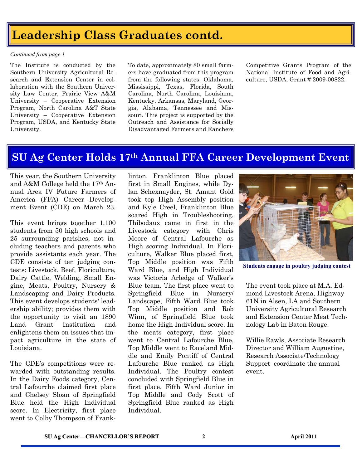## **SOUTHERM UNIVERSITY ASSESSED ASSESSED AT A LEADER SCHOOL CONTROLLER CONTROLLER CONTROLLER CONTROLLER CONTROLLER CONTROLLER CONTROLLER CONTROLLER CONTROLLER CONTROLLER CONTROLLER CONTROLLER CONTROLLER CONTROLLER CONTROLLER**

#### *Continued from page 1*

The Institute is conducted by the Southern University Agricultural Research and Extension Center in collaboration with the Southern University Law Center, Prairie View A&M University – Cooperative Extension Program, North Carolina A&T State University – Cooperative Extension Program, USDA, and Kentucky State University.

To date, approximately 80 small farmers have graduated from this program from the following states: Oklahoma, Mississippi, Texas, Florida, South Carolina, North Carolina, Louisiana, Kentucky, Arkansas, Maryland, Georgia, Alabama, Tennessee and Missouri. This project is supported by the Outreach and Assistance for Socially Disadvantaged Farmers and Ranchers Competitive Grants Program of the National Institute of Food and Agriculture, USDA, Grant # 2009-00822.

#### **SU Ag Center Holds 17th Annual FFA Career Development Event**

This year, the Southern University and A&M College held the 17th Annual Area IV Future Farmers of America (FFA) Career Development Event (CDE) on March 23.

This event brings together 1,100 students from 50 high schools and 25 surrounding parishes, not including teachers and parents who provide assistants each year. The CDE consists of ten judging contests: Livestock, Beef, Floriculture, Dairy Cattle, Welding, Small Engine, Meats, Poultry, Nursery & Landscaping and Dairy Products. This event develops students' leadership ability; provides them with the opportunity to visit an 1890 Land Grant Institution and enlightens them on issues that impact agriculture in the state of Louisiana.

The CDE's competitions were rewarded with outstanding results. In the Dairy Foods category, Central Lafourche claimed first place and Chelsey Sloan of Springfield Blue held the High Individual score. In Electricity, first place went to Colby Thompson of Franklinton. Franklinton Blue placed first in Small Engines, while Dylan Schexnayder, St. Amant Gold took top High Assembly position and Kyle Creel, Franklinton Blue soared High in Troubleshooting. Thibodaux came in first in the Livestock category with Chris Moore of Central Lafourche as High scoring Individual. In Floriculture, Walker Blue placed first, Top Middle position was Fifth Ward Blue, and High Individual was Victoria Arledge of Walker's Blue team. The first place went to Springfield Blue in Nursery/ Landscape, Fifth Ward Blue took Top Middle position and Rob Winn, of Springfield Blue took home the High Individual score. In the meats category, first place went to Central Lafourche Blue, Top Middle went to Raceland Middle and Emily Pontiff of Central Lafourche Blue ranked as High Individual. The Poultry contest concluded with Springfield Blue in first place, Fifth Ward Junior in Top Middle and Cody Scott of Springfield Blue ranked as High Individual.



**Students engage in poultry judging contest** 

The event took place at M.A. Edmond Livestock Arena, Highway 61N in Alsen, LA and Southern University Agricultural Research and Extension Center Meat Technology Lab in Baton Rouge.

Willie Rawls, Associate Research Director and William Augustine, Research Associate/Technology Support coordinate the annual event.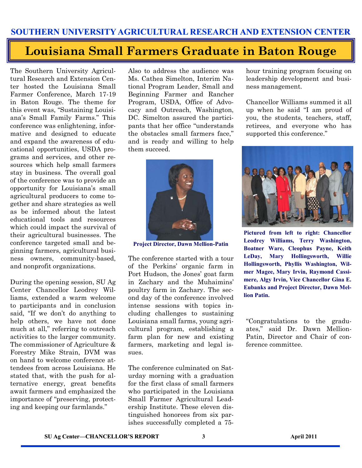#### **Louisiana Small Farmers Graduate in Baton Rouge**

The Southern University Agricultural Research and Extension Center hosted the Louisiana Small Farmer Conference, March 17-19 in Baton Rouge. The theme for this event was, "Sustaining Louisiana's Small Family Farms." This conference was enlightening, informative and designed to educate and expand the awareness of educational opportunities, USDA programs and services, and other resources which help small farmers stay in business. The overall goal of the conference was to provide an opportunity for Louisiana's small agricultural producers to come together and share strategies as well as be informed about the latest educational tools and resources which could impact the survival of their agricultural businesses. The conference targeted small and beginning farmers, agricultural business owners, community-based, and nonprofit organizations.

During the opening session, SU Ag Center Chancellor Leodrey Williams, extended a warm welcome to participants and in conclusion said, "If we don't do anything to help others, we have not done much at all," referring to outreach activities to the larger community. The commissioner of Agriculture & Forestry Mike Strain, DVM was on hand to welcome conference attendees from across Louisiana. He stated that, with the push for alternative energy, great benefits await farmers and emphasized the importance of "preserving, protecting and keeping our farmlands."

Also to address the audience was Ms. Cathea Simelton, Interim National Program Leader, Small and Beginning Farmer and Rancher Program, USDA, Office of Advocacy and Outreach, Washington, DC. Simelton assured the participants that her office "understands the obstacles small farmers face," and is ready and willing to help them succeed.



**Project Director, Dawn Mellion-Patin** 

The conference started with a tour of the Perkins' organic farm in Port Hudson, the Jones' goat farm in Zachary and the Muhaimins' poultry farm in Zachary. The second day of the conference involved intense sessions with topics including challenges to sustaining Louisiana small farms, young agricultural program, establishing a farm plan for new and existing farmers, marketing and legal issues.

The conference culminated on Saturday morning with a graduation for the first class of small farmers who participated in the Louisiana Small Farmer Agricultural Leadership Institute. These eleven distinguished honorees from six parishes successfully completed a 75hour training program focusing on leadership development and business management.

Chancellor Williams summed it all up when he said "I am proud of you, the students, teachers, staff, retirees, and everyone who has supported this conference."



**Pictured from left to right: Chancellor Leodrey Williams, Terry Washington, Boatner Ware, Cleophus Payne, Keith LeDay, Mary Hollingsworth, Willie Hollingsworth, Phyllis Washington, Wilmer Magee, Mary Irvin, Raymond Cassimere, Algy Irvin, Vice Chancellor Gina E. Eubanks and Project Director, Dawn Mellion Patin.** 

"Congratulations to the graduates," said Dr. Dawn Mellion-Patin, Director and Chair of conference committee.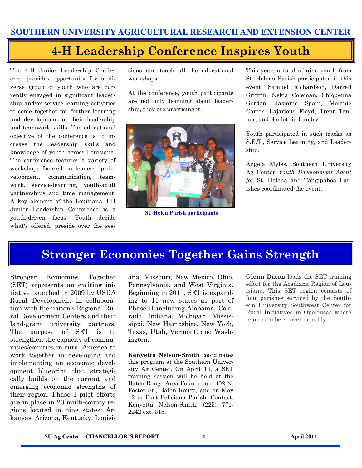### **4-H Leadership Conference Inspires Youth**

The 4-H Junior Leadership Conference provides opportunity for a diverse group of youth who are currently engaged in significant leadership and/or service-learning activities to come together for further learning and development of their leadership and teamwork skills. The educational objective of the conference is to increase the leadership skills and knowledge of youth across Louisiana. The conference features a variety of workshops focused on leadership development, communication, teamwork, service-learning, youth-adult partnerships and time management. A key element of the Louisiana 4-H Junior Leadership Conference is a youth-driven focus. Youth decide what's offered, preside over the sessions and teach all the educational workshops.

At the conference, youth participants are not only learning about leadership, they are practicing it.



**St. Helen Parish participants** 

This year, a total of nine youth from St. Helena Parish participated in this event: Samuel Richardson, Darrell Grifffin, Nekia Coleman, Chiquenna Gordon, Jasmine Spain, Melanie Carter, Lajarious Floyd, Trent Tanner, and Shalethia Landry.

Youth participated in such tracks as S.E.T., Service Learning, and Leadership.

Angela Myles, Southern University Ag Center *Youth Development Agent for* St. Helena and Tangipahoa Parishes coordinated the event.

#### **Stronger Economies Together Gains Strength**

Stronger Economies Together (SET) represents an exciting initiative launched in 2009 by USDA Rural Development in collaboration with the nation's Regional Rural Development Centers and their land-grant university partners. The purpose of SET is to strengthen the capacity of communities/counties in rural America to work together in developing and implementing an economic development blueprint that strategically builds on the current and emerging economic strengths of their region. Phase I pilot efforts are in place in 23 multi-county regions located in nine states: Arkansas, Arizona, Kentucky, Louisiana, Missouri, New Mexico, Ohio, Pennsylvania, and West Virginia. Beginning in 2011, SET is expanding to 11 new states as part of Phase II including Alabama, Colorado, Indiana, Michigan, Mississippi, New Hampshire, New York, Texas, Utah, Vermont, and Washington.

**Kenyetta Nelson-Smith** coordinates this program at the Southern University Ag Center. On April 14, a SET training session will be held at the Baton Rouge Area Foundation, 402 N. Foster St., Baton Rouge, and on May 12 in East Feliciana Parish. Contact: Kenyetta Nelson-Smith, (225) 771- 2242 ext. 315.

**Glenn Dixon** leads the SET training effort for the Acadiana Region of Louisiana. This SET region consists of four parishes serviced by the Southern University Southwest Center for Rural Initiatives in Opelousas where team members meet monthly.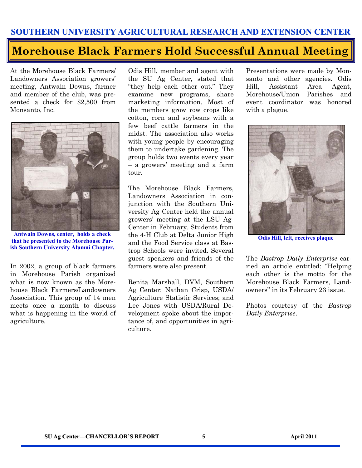#### **Morehouse Black Farmers Hold Successful Annual Meeting**

At the Morehouse Black Farmers/ Landowners Association growers' meeting, Antwain Downs, farmer and member of the club, was presented a check for \$2,500 from Monsanto, Inc.



**Antwain Downs, center, holds a check that he presented to the Morehouse Parish Southern University Alumni Chapter.** 

In 2002, a group of black farmers in Morehouse Parish organized what is now known as the Morehouse Black Farmers/Landowners Association. This group of 14 men meets once a month to discuss what is happening in the world of agriculture.

Odis Hill, member and agent with the SU Ag Center, stated that "they help each other out." They examine new programs, share marketing information. Most of the members grow row crops like cotton, corn and soybeans with a few beef cattle farmers in the midst. The association also works with young people by encouraging them to undertake gardening. The group holds two events every year – a growers' meeting and a farm tour.

The Morehouse Black Farmers, Landowners Association in conjunction with the Southern University Ag Center held the annual growers' meeting at the LSU Ag-Center in February. Students from the 4-H Club at Delta Junior High and the Food Service class at Bastrop Schools were invited. Several guest speakers and friends of the farmers were also present.

Renita Marshall, DVM, Southern Ag Center; Nathan Crisp, USDA/ Agriculture Statistic Services; and Lee Jones with USDA/Rural Development spoke about the importance of, and opportunities in agriculture.

Presentations were made by Monsanto and other agencies. Odis Hill, Assistant Area Agent, Morehouse/Union Parishes and event coordinator was honored with a plague.



**Odis Hill, left, receives plaque** 

The *Bastrop Daily Enterprise* carried an article entitled: "Helping each other is the motto for the Morehouse Black Farmers, Landowners" in its February 23 issue.

Photos courtesy of the *Bastrop Daily Enterprise*.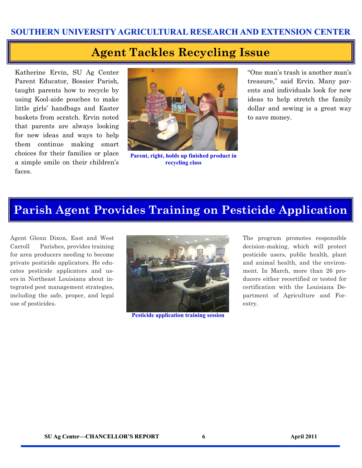#### **Agent Tackles Recycling Issue**

Katherine Ervin, SU Ag Center Parent Educator, Bossier Parish, taught parents how to recycle by using Kool-aide pouches to make little girls' handbags and Easter baskets from scratch. Ervin noted that parents are always looking for new ideas and ways to help them continue making smart choices for their families or place a simple smile on their children's faces.



**Parent, right, holds up finished product in recycling class** 

"One man's trash is another man's treasure," said Ervin. Many parents and individuals look for new ideas to help stretch the family dollar and sewing is a great way to save money.

#### **Parish Agent Provides Training on Pesticide Application**

Agent Glenn Dixon, East and West Carroll Parishes, provides training for area producers needing to become private pesticide applicators. He educates pesticide applicators and users in Northeast Louisiana about integrated pest management strategies, including the safe, proper, and legal use of pesticides.



**Pesticide application training session** 

The program promotes responsible decision-making, which will protect pesticide users, public health, plant and animal health, and the environment. In March, more than 26 producers either recertified or tested for certification with the Louisiana Department of Agriculture and Forestry.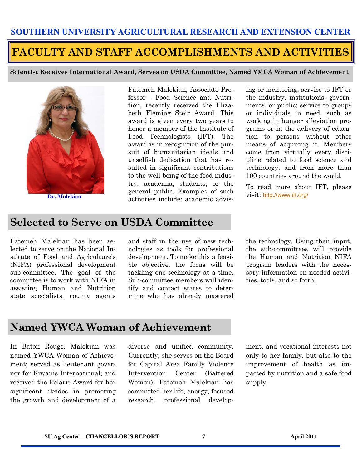#### **FACULTY AND STAFF ACCOMPLISHMENTS AND ACTIVITIES**

**Scientist Receives International Award, Serves on USDA Committee, Named YMCA Woman of Achievement** 



Fatemeh Malekian, Associate Professor - Food Science and Nutrition, recently received the Elizabeth Fleming Steir Award. This award is given every two years to honor a member of the Institute of Food Technologists (IFT). The award is in recognition of the pursuit of humanitarian ideals and unselfish dedication that has resulted in significant contributions to the well-being of the food industry, academia, students, or the general public. Examples of such **Dr. Malekian** activities include: academic advis-<br>activities include: academic advis-

ing or mentoring; service to IFT or the industry, institutions, governments, or public; service to groups or individuals in need, such as working in hunger alleviation programs or in the delivery of education to persons without other means of acquiring it. Members come from virtually every discipline related to food science and technology, and from more than 100 countries around the world.

To read more about IFT, please

#### **Selected to Serve on USDA Committee**

Fatemeh Malekian has been selected to serve on the National Institute of Food and Agriculture's (NIFA) professional development sub-committee. The goal of the committee is to work with NIFA in assisting Human and Nutrition state specialists, county agents and staff in the use of new technologies as tools for professional development. To make this a feasible objective, the focus will be tackling one technology at a time. Sub-committee members will identify and contact states to determine who has already mastered the technology. Using their input, the sub-committees will provide the Human and Nutrition NIFA program leaders with the necessary information on needed activities, tools, and so forth.

#### **Named YWCA Woman of Achievement**

In Baton Rouge, Malekian was named YWCA Woman of Achievement; served as lieutenant governor for Kiwanis International; and received the Polaris Award for her significant strides in promoting the growth and development of a diverse and unified community. Currently, she serves on the Board for Capital Area Family Violence Intervention Center (Battered Women). Fatemeh Malekian has committed her life, energy, focused research, professional develop-

ment, and vocational interests not only to her family, but also to the improvement of health as impacted by nutrition and a safe food supply.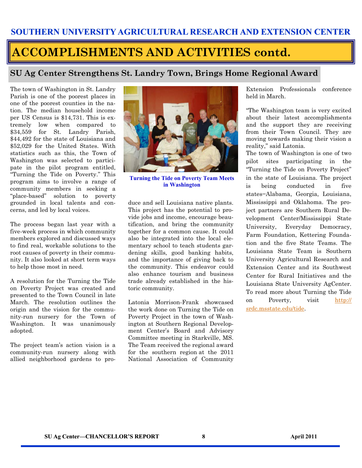## **ACCOMPLISHMENTS AND ACTIVITIES contd.**

#### **SU Ag Center Strengthens St. Landry Town, Brings Home Regional Award**

The town of Washington in St. Landry Parish is one of the poorest places in one of the poorest counties in the nation. The median household income per US Census is \$14,731. This is extremely low when compared to \$34,559 for St. Landry Parish, \$44,492 for the state of Louisiana and \$52,029 for the United States. With statistics such as this, the Town of Washington was selected to participate in the pilot program entitled, "Turning the Tide on Poverty." This program aims to involve a range of community members in seeking a "place-based" solution to poverty grounded in local talents and concerns, and led by local voices.

The process began last year with a five-week process in which community members explored and discussed ways to find real, workable solutions to the root causes of poverty in their community. It also looked at short term ways to help those most in need.

A resolution for the Turning the Tide on Poverty Project was created and presented to the Town Council in late March. The resolution outlines the origin and the vision for the community-run nursery for the Town of Washington. It was unanimously adopted.

The project team's action vision is a community-run nursery along with allied neighborhood gardens to pro-



**Turning the Tide on Poverty Team Meets in Washington** 

duce and sell Louisiana native plants. This project has the potential to provide jobs and income, encourage beautification, and bring the community together for a common cause. It could also be integrated into the local elementary school to teach students gardening skills, good banking habits, and the importance of giving back to the community. This endeavor could also enhance tourism and business trade already established in the historic community.

Latonia Morrison-Frank showcased the work done on Turning the Tide on Poverty Project in the town of Washington at Southern Regional Development Center's Board and Advisory Committee meeting in Starkville, MS. The Team received the regional award for the southern region at the 2011 National Association of Community Extension Professionals conference held in March.

"The Washington team is very excited about their latest accomplishments and the support they are receiving from their Town Council. They are moving towards making their vision a reality," said Latonia.

The town of Washington is one of two pilot sites participating in the "Turning the Tide on Poverty Project" in the state of Louisiana. The project is being conducted in five states−Alabama, Georgia, Louisiana, Mississippi and Oklahoma. The project partners are Southern Rural Development Center/Mississippi State University, Everyday Democracy, Farm Foundation, Kettering Foundation and the five State Teams. The Louisiana State Team is Southern University Agricultural Research and Extension Center and its Southwest Center for Rural Initiatives and the Louisiana State University AgCenter. To read more about Turning the Tide on Poverty, visit [http://](http://srdc.msstate.edu/tide) [srdc.msstate.edu/tide.](http://srdc.msstate.edu/tide)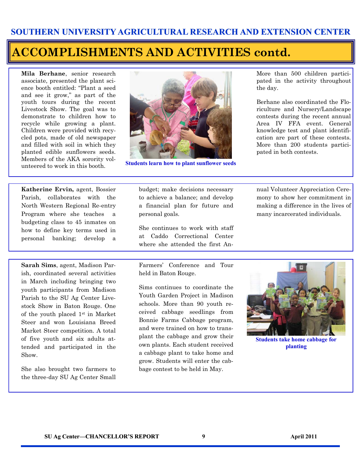#### **ACCOMPLISHMENTS AND ACTIVITIES contd.**

**Mila Berhane**, senior research associate, presented the plant science booth entitled: "Plant a seed and see it grow," as part of the youth tours during the recent Livestock Show. The goal was to demonstrate to children how to recycle while growing a plant. Children were provided with recycled pots, made of old newspaper and filled with soil in which they planted edible sunflowers seeds. Members of the AKA sorority volunteered to work in this booth.



**Students learn how to plant sunflower seeds** 

More than 500 children participated in the activity throughout the day.

Berhane also coordinated the Floriculture and Nursery/Landscape contests during the recent annual Area IV FFA event. General knowledge test and plant identification are part of these contests. More than 200 students participated in both contests.

**Katherine Ervin,** agent, Bossier Parish, collaborates with the North Western Regional Re-entry Program where she teaches a budgeting class to 45 inmates on how to define key terms used in personal banking; develop a

**Sarah Sims**, agent, Madison Parish, coordinated several activities in March including bringing two youth participants from Madison Parish to the SU Ag Center Livestock Show in Baton Rouge. One of the youth placed 1st in Market Steer and won Louisiana Breed Market Steer competition. A total of five youth and six adults attended and participated in the Show.

She also brought two farmers to the three-day SU Ag Center Small

budget; make decisions necessary to achieve a balance; and develop a financial plan for future and personal goals.

She continues to work with staff at Caddo Correctional Center where she attended the first An-

Farmers' Conference and Tour held in Baton Rouge.

Sims continues to coordinate the Youth Garden Project in Madison schools. More than 90 youth received cabbage seedlings from Bonnie Farms Cabbage program, and were trained on how to transplant the cabbage and grow their own plants. Each student received a cabbage plant to take home and grow. Students will enter the cabbage contest to be held in May.

mony to show her commitment in making a difference in the lives of many incarcerated individuals.

nual Volunteer Appreciation Cere-



**Students take home cabbage for planting**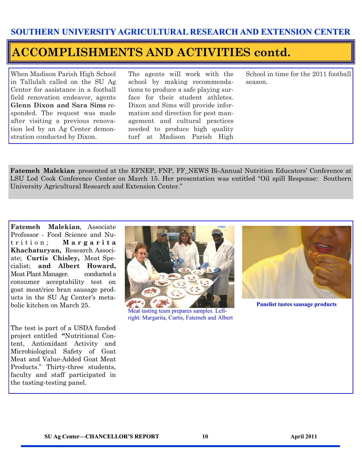#### **ACCOMPLISHMENTS AND ACTIVITIES contd.**

When Madison Parish High School in Tallulah called on the SU Ag Center for assistance in a football field renovation endeavor, agents **Glenn Dixon and Sara Sims** responded. The request was made after visiting a previous renovation led by an Ag Center demonstration conducted by Dixon.

The agents will work with the school by making recommendations to produce a safe playing surface for their student athletes. Dixon and Sims will provide information and direction for pest management and cultural practices needed to produce high quality turf at Madison Parish High

School in time for the 2011 football season.

**Fatemeh Malekian** presented at the EFNEP, FNP, FF\_NEWS Bi-Annual Nutrition Educators' Conference at LSU Lod Cook Conference Center on March 15. Her presentation was entitled "Oil spill Response: Southern University Agricultural Research and Extension Center."

**Fatemeh Malekian**, Associate Professor - Food Science and Nut r i t i o n ; **M a r g a r i t a Khachaturyan,** Research Associate; **Curtis Chisley,** Meat Specialist; **and Albert Howard,** Meat Plant Manager, conducted a consumer acceptability test on goat meat/rice bran sausage products in the SU Ag Center's metabolic kitchen on March 25.

The test is part of a USDA funded project entitled **"**Nutritional Content, Antioxidant Activity and Microbiological Safety of Goat Meat and Value-Added Goat Meat Products." Thirty-three students, faculty and staff participated in the tasting-testing panel.



Meat tasting team prepares samples. Leftright: Margarita, Curtis, Fatemeh and Albert



**Panelist tastes sausage products**